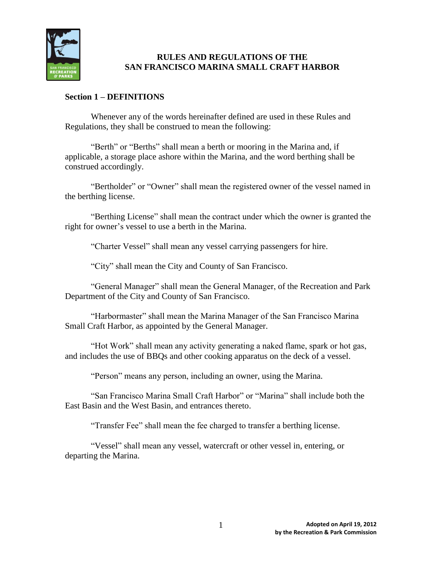

# **RULES AND REGULATIONS OF THE SAN FRANCISCO MARINA SMALL CRAFT HARBOR**

# **Section 1 – DEFINITIONS**

Whenever any of the words hereinafter defined are used in these Rules and Regulations, they shall be construed to mean the following:

"Berth" or "Berths" shall mean a berth or mooring in the Marina and, if applicable, a storage place ashore within the Marina, and the word berthing shall be construed accordingly.

"Bertholder" or "Owner" shall mean the registered owner of the vessel named in the berthing license.

"Berthing License" shall mean the contract under which the owner is granted the right for owner's vessel to use a berth in the Marina.

"Charter Vessel" shall mean any vessel carrying passengers for hire.

"City" shall mean the City and County of San Francisco.

"General Manager" shall mean the General Manager, of the Recreation and Park Department of the City and County of San Francisco.

"Harbormaster" shall mean the Marina Manager of the San Francisco Marina Small Craft Harbor, as appointed by the General Manager.

"Hot Work" shall mean any activity generating a naked flame, spark or hot gas, and includes the use of BBQs and other cooking apparatus on the deck of a vessel.

"Person" means any person, including an owner, using the Marina.

"San Francisco Marina Small Craft Harbor" or "Marina" shall include both the East Basin and the West Basin, and entrances thereto.

"Transfer Fee" shall mean the fee charged to transfer a berthing license.

"Vessel" shall mean any vessel, watercraft or other vessel in, entering, or departing the Marina.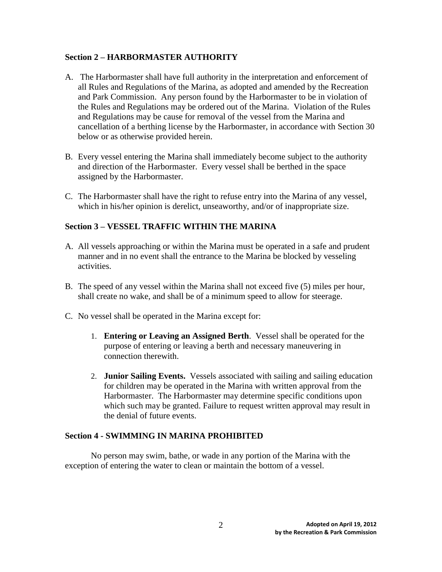## **Section 2 – HARBORMASTER AUTHORITY**

- A. The Harbormaster shall have full authority in the interpretation and enforcement of all Rules and Regulations of the Marina, as adopted and amended by the Recreation and Park Commission. Any person found by the Harbormaster to be in violation of the Rules and Regulations may be ordered out of the Marina. Violation of the Rules and Regulations may be cause for removal of the vessel from the Marina and cancellation of a berthing license by the Harbormaster, in accordance with Section 30 below or as otherwise provided herein.
- B. Every vessel entering the Marina shall immediately become subject to the authority and direction of the Harbormaster. Every vessel shall be berthed in the space assigned by the Harbormaster.
- C. The Harbormaster shall have the right to refuse entry into the Marina of any vessel, which in his/her opinion is derelict, unseaworthy, and/or of inappropriate size.

# **Section 3 – VESSEL TRAFFIC WITHIN THE MARINA**

- A. All vessels approaching or within the Marina must be operated in a safe and prudent manner and in no event shall the entrance to the Marina be blocked by vesseling activities.
- B. The speed of any vessel within the Marina shall not exceed five (5) miles per hour, shall create no wake, and shall be of a minimum speed to allow for steerage.
- C. No vessel shall be operated in the Marina except for:
	- 1. **Entering or Leaving an Assigned Berth**. Vessel shall be operated for the purpose of entering or leaving a berth and necessary maneuvering in connection therewith.
	- 2. **Junior Sailing Events.** Vessels associated with sailing and sailing education for children may be operated in the Marina with written approval from the Harbormaster. The Harbormaster may determine specific conditions upon which such may be granted. Failure to request written approval may result in the denial of future events.

# **Section 4 - SWIMMING IN MARINA PROHIBITED**

No person may swim, bathe, or wade in any portion of the Marina with the exception of entering the water to clean or maintain the bottom of a vessel.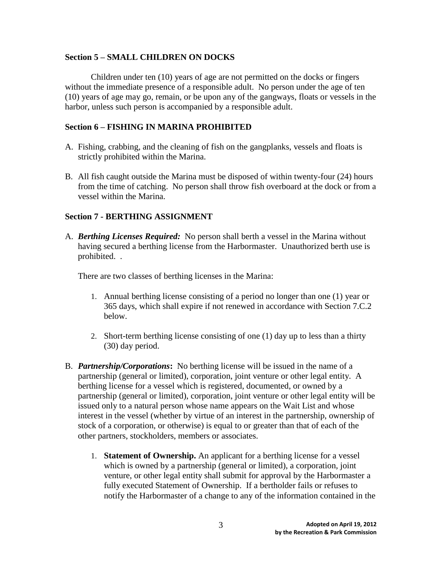#### **Section 5 – SMALL CHILDREN ON DOCKS**

Children under ten (10) years of age are not permitted on the docks or fingers without the immediate presence of a responsible adult. No person under the age of ten (10) years of age may go, remain, or be upon any of the gangways, floats or vessels in the harbor, unless such person is accompanied by a responsible adult.

# **Section 6 – FISHING IN MARINA PROHIBITED**

- A. Fishing, crabbing, and the cleaning of fish on the gangplanks, vessels and floats is strictly prohibited within the Marina.
- B. All fish caught outside the Marina must be disposed of within twenty-four (24) hours from the time of catching. No person shall throw fish overboard at the dock or from a vessel within the Marina.

#### **Section 7 - BERTHING ASSIGNMENT**

A. *Berthing Licenses Required:* No person shall berth a vessel in the Marina without having secured a berthing license from the Harbormaster. Unauthorized berth use is prohibited. .

There are two classes of berthing licenses in the Marina:

- 1. Annual berthing license consisting of a period no longer than one (1) year or 365 days, which shall expire if not renewed in accordance with Section 7.C.2 below.
- 2. Short-term berthing license consisting of one (1) day up to less than a thirty (30) day period.
- B. *Partnership/Corporations***:** No berthing license will be issued in the name of a partnership (general or limited), corporation, joint venture or other legal entity. A berthing license for a vessel which is registered, documented, or owned by a partnership (general or limited), corporation, joint venture or other legal entity will be issued only to a natural person whose name appears on the Wait List and whose interest in the vessel (whether by virtue of an interest in the partnership, ownership of stock of a corporation, or otherwise) is equal to or greater than that of each of the other partners, stockholders, members or associates.
	- 1. **Statement of Ownership.** An applicant for a berthing license for a vessel which is owned by a partnership (general or limited), a corporation, joint venture, or other legal entity shall submit for approval by the Harbormaster a fully executed Statement of Ownership. If a bertholder fails or refuses to notify the Harbormaster of a change to any of the information contained in the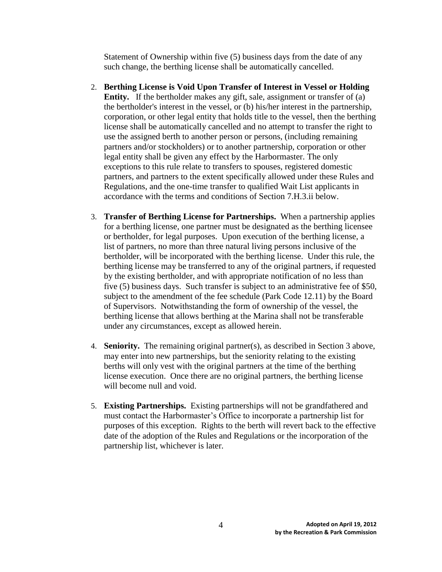Statement of Ownership within five (5) business days from the date of any such change, the berthing license shall be automatically cancelled.

- 2. **Berthing License is Void Upon Transfer of Interest in Vessel or Holding Entity.** If the bertholder makes any gift, sale, assignment or transfer of (a) the bertholder's interest in the vessel, or (b) his/her interest in the partnership, corporation, or other legal entity that holds title to the vessel, then the berthing license shall be automatically cancelled and no attempt to transfer the right to use the assigned berth to another person or persons, (including remaining partners and/or stockholders) or to another partnership, corporation or other legal entity shall be given any effect by the Harbormaster. The only exceptions to this rule relate to transfers to spouses, registered domestic partners, and partners to the extent specifically allowed under these Rules and Regulations, and the one-time transfer to qualified Wait List applicants in accordance with the terms and conditions of Section 7.H.3.ii below.
- 3. **Transfer of Berthing License for Partnerships.** When a partnership applies for a berthing license, one partner must be designated as the berthing licensee or bertholder, for legal purposes. Upon execution of the berthing license, a list of partners, no more than three natural living persons inclusive of the bertholder, will be incorporated with the berthing license. Under this rule, the berthing license may be transferred to any of the original partners, if requested by the existing bertholder, and with appropriate notification of no less than five (5) business days. Such transfer is subject to an administrative fee of \$50, subject to the amendment of the fee schedule (Park Code 12.11) by the Board of Supervisors. Notwithstanding the form of ownership of the vessel, the berthing license that allows berthing at the Marina shall not be transferable under any circumstances, except as allowed herein.
- 4. **Seniority.** The remaining original partner(s), as described in Section 3 above, may enter into new partnerships, but the seniority relating to the existing berths will only vest with the original partners at the time of the berthing license execution. Once there are no original partners, the berthing license will become null and void.
- 5. **Existing Partnerships.** Existing partnerships will not be grandfathered and must contact the Harbormaster's Office to incorporate a partnership list for purposes of this exception. Rights to the berth will revert back to the effective date of the adoption of the Rules and Regulations or the incorporation of the partnership list, whichever is later.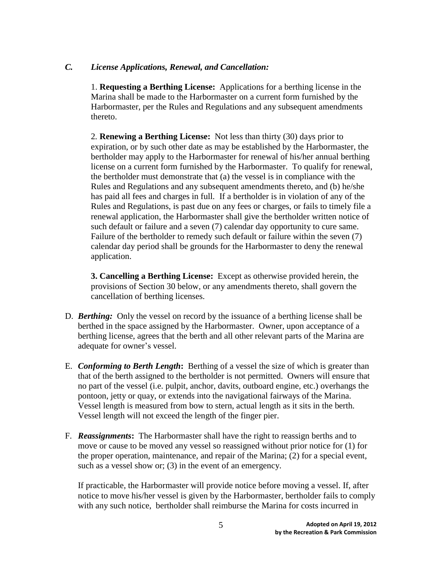## *C. License Applications, Renewal, and Cancellation:*

1. **Requesting a Berthing License:** Applications for a berthing license in the Marina shall be made to the Harbormaster on a current form furnished by the Harbormaster, per the Rules and Regulations and any subsequent amendments thereto.

2*.* **Renewing a Berthing License:**Not less than thirty (30) days prior to expiration, or by such other date as may be established by the Harbormaster, the bertholder may apply to the Harbormaster for renewal of his/her annual berthing license on a current form furnished by the Harbormaster. To qualify for renewal, the bertholder must demonstrate that (a) the vessel is in compliance with the Rules and Regulations and any subsequent amendments thereto, and (b) he/she has paid all fees and charges in full*.* If a bertholder is in violation of any of the Rules and Regulations, is past due on any fees or charges, or fails to timely file a renewal application, the Harbormaster shall give the bertholder written notice of such default or failure and a seven (7) calendar day opportunity to cure same. Failure of the bertholder to remedy such default or failure within the seven (7) calendar day period shall be grounds for the Harbormaster to deny the renewal application.

**3. Cancelling a Berthing License:** Except as otherwise provided herein, the provisions of Section 30 below, or any amendments thereto, shall govern the cancellation of berthing licenses.

- D. *Berthing:* Only the vessel on record by the issuance of a berthing license shall be berthed in the space assigned by the Harbormaster. Owner, upon acceptance of a berthing license, agrees that the berth and all other relevant parts of the Marina are adequate for owner's vessel.
- E. *Conforming to Berth Length***:** Berthing of a vessel the size of which is greater than that of the berth assigned to the bertholder is not permitted. Owners will ensure that no part of the vessel (i.e. pulpit, anchor, davits, outboard engine, etc.) overhangs the pontoon, jetty or quay, or extends into the navigational fairways of the Marina. Vessel length is measured from bow to stern, actual length as it sits in the berth. Vessel length will not exceed the length of the finger pier.
- F. *Reassignments***:** The Harbormaster shall have the right to reassign berths and to move or cause to be moved any vessel so reassigned without prior notice for (1) for the proper operation, maintenance, and repair of the Marina; (2) for a special event, such as a vessel show or; (3) in the event of an emergency.

If practicable, the Harbormaster will provide notice before moving a vessel. If, after notice to move his/her vessel is given by the Harbormaster, bertholder fails to comply with any such notice, bertholder shall reimburse the Marina for costs incurred in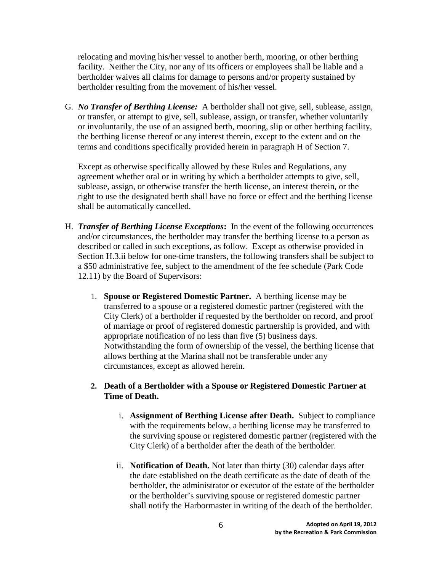relocating and moving his/her vessel to another berth, mooring, or other berthing facility. Neither the City, nor any of its officers or employees shall be liable and a bertholder waives all claims for damage to persons and/or property sustained by bertholder resulting from the movement of his/her vessel.

G. *No Transfer of Berthing License:*A bertholder shall not give, sell, sublease, assign, or transfer, or attempt to give, sell, sublease, assign, or transfer, whether voluntarily or involuntarily, the use of an assigned berth, mooring, slip or other berthing facility, the berthing license thereof or any interest therein, except to the extent and on the terms and conditions specifically provided herein in paragraph H of Section 7.

Except as otherwise specifically allowed by these Rules and Regulations, any agreement whether oral or in writing by which a bertholder attempts to give, sell, sublease, assign, or otherwise transfer the berth license, an interest therein, or the right to use the designated berth shall have no force or effect and the berthing license shall be automatically cancelled.

- H. *Transfer of Berthing License Exceptions***:** In the event of the following occurrences and/or circumstances, the bertholder may transfer the berthing license to a person as described or called in such exceptions, as follow. Except as otherwise provided in Section H.3.ii below for one-time transfers, the following transfers shall be subject to a \$50 administrative fee, subject to the amendment of the fee schedule (Park Code 12.11) by the Board of Supervisors:
	- 1. **Spouse or Registered Domestic Partner.** A berthing license may be transferred to a spouse or a registered domestic partner (registered with the City Clerk) of a bertholder if requested by the bertholder on record, and proof of marriage or proof of registered domestic partnership is provided, and with appropriate notification of no less than five (5) business days. Notwithstanding the form of ownership of the vessel, the berthing license that allows berthing at the Marina shall not be transferable under any circumstances, except as allowed herein.

## **2. Death of a Bertholder with a Spouse or Registered Domestic Partner at Time of Death.**

- i. **Assignment of Berthing License after Death.** Subject to compliance with the requirements below, a berthing license may be transferred to the surviving spouse or registered domestic partner (registered with the City Clerk) of a bertholder after the death of the bertholder.
- ii. **Notification of Death.** Not later than thirty (30) calendar days after the date established on the death certificate as the date of death of the bertholder, the administrator or executor of the estate of the bertholder or the bertholder's surviving spouse or registered domestic partner shall notify the Harbormaster in writing of the death of the bertholder.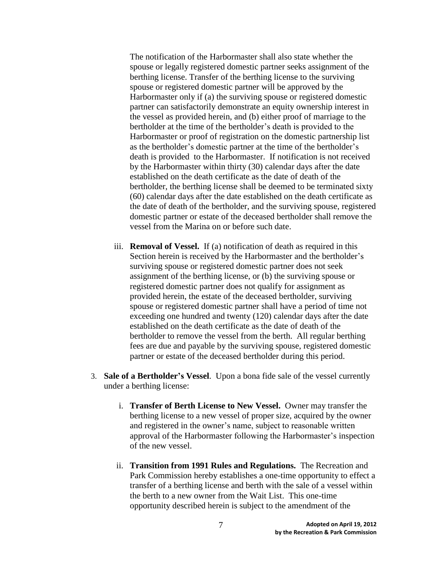The notification of the Harbormaster shall also state whether the spouse or legally registered domestic partner seeks assignment of the berthing license. Transfer of the berthing license to the surviving spouse or registered domestic partner will be approved by the Harbormaster only if (a) the surviving spouse or registered domestic partner can satisfactorily demonstrate an equity ownership interest in the vessel as provided herein, and (b) either proof of marriage to the bertholder at the time of the bertholder's death is provided to the Harbormaster or proof of registration on the domestic partnership list as the bertholder's domestic partner at the time of the bertholder's death is provided to the Harbormaster. If notification is not received by the Harbormaster within thirty (30) calendar days after the date established on the death certificate as the date of death of the bertholder, the berthing license shall be deemed to be terminated sixty (60) calendar days after the date established on the death certificate as the date of death of the bertholder, and the surviving spouse, registered domestic partner or estate of the deceased bertholder shall remove the vessel from the Marina on or before such date.

- iii. **Removal of Vessel.** If (a) notification of death as required in this Section herein is received by the Harbormaster and the bertholder's surviving spouse or registered domestic partner does not seek assignment of the berthing license, or (b) the surviving spouse or registered domestic partner does not qualify for assignment as provided herein, the estate of the deceased bertholder, surviving spouse or registered domestic partner shall have a period of time not exceeding one hundred and twenty (120) calendar days after the date established on the death certificate as the date of death of the bertholder to remove the vessel from the berth. All regular berthing fees are due and payable by the surviving spouse, registered domestic partner or estate of the deceased bertholder during this period.
- 3. **Sale of a Bertholder's Vessel**. Upon a bona fide sale of the vessel currently under a berthing license:
	- i. **Transfer of Berth License to New Vessel.** Owner may transfer the berthing license to a new vessel of proper size, acquired by the owner and registered in the owner's name, subject to reasonable written approval of the Harbormaster following the Harbormaster's inspection of the new vessel.
	- ii. **Transition from 1991 Rules and Regulations.** The Recreation and Park Commission hereby establishes a one-time opportunity to effect a transfer of a berthing license and berth with the sale of a vessel within the berth to a new owner from the Wait List. This one-time opportunity described herein is subject to the amendment of the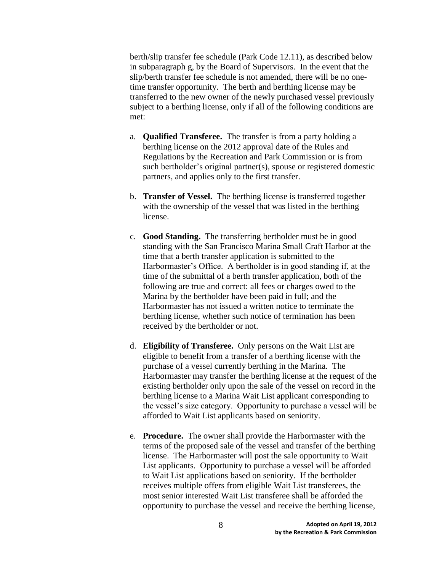berth/slip transfer fee schedule (Park Code 12.11), as described below in subparagraph g, by the Board of Supervisors. In the event that the slip/berth transfer fee schedule is not amended, there will be no onetime transfer opportunity. The berth and berthing license may be transferred to the new owner of the newly purchased vessel previously subject to a berthing license, only if all of the following conditions are met:

- a. **Qualified Transferee.** The transfer is from a party holding a berthing license on the 2012 approval date of the Rules and Regulations by the Recreation and Park Commission or is from such bertholder's original partner(s), spouse or registered domestic partners, and applies only to the first transfer.
- b. **Transfer of Vessel.** The berthing license is transferred together with the ownership of the vessel that was listed in the berthing license.
- c. **Good Standing.** The transferring bertholder must be in good standing with the San Francisco Marina Small Craft Harbor at the time that a berth transfer application is submitted to the Harbormaster's Office. A bertholder is in good standing if, at the time of the submittal of a berth transfer application, both of the following are true and correct: all fees or charges owed to the Marina by the bertholder have been paid in full; and the Harbormaster has not issued a written notice to terminate the berthing license, whether such notice of termination has been received by the bertholder or not.
- d. **Eligibility of Transferee.** Only persons on the Wait List are eligible to benefit from a transfer of a berthing license with the purchase of a vessel currently berthing in the Marina. The Harbormaster may transfer the berthing license at the request of the existing bertholder only upon the sale of the vessel on record in the berthing license to a Marina Wait List applicant corresponding to the vessel's size category. Opportunity to purchase a vessel will be afforded to Wait List applicants based on seniority.
- e. **Procedure.** The owner shall provide the Harbormaster with the terms of the proposed sale of the vessel and transfer of the berthing license. The Harbormaster will post the sale opportunity to Wait List applicants. Opportunity to purchase a vessel will be afforded to Wait List applications based on seniority. If the bertholder receives multiple offers from eligible Wait List transferees, the most senior interested Wait List transferee shall be afforded the opportunity to purchase the vessel and receive the berthing license,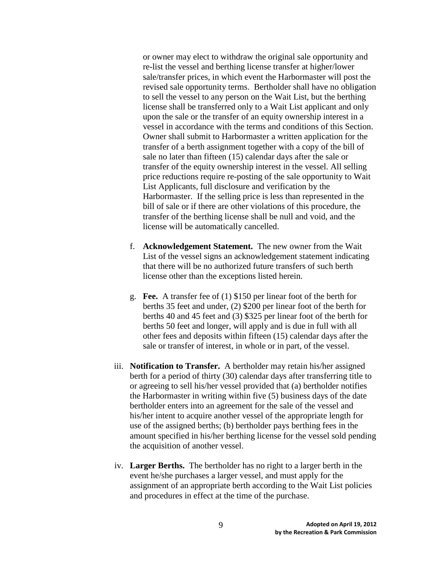or owner may elect to withdraw the original sale opportunity and re-list the vessel and berthing license transfer at higher/lower sale/transfer prices, in which event the Harbormaster will post the revised sale opportunity terms. Bertholder shall have no obligation to sell the vessel to any person on the Wait List, but the berthing license shall be transferred only to a Wait List applicant and only upon the sale or the transfer of an equity ownership interest in a vessel in accordance with the terms and conditions of this Section. Owner shall submit to Harbormaster a written application for the transfer of a berth assignment together with a copy of the bill of sale no later than fifteen (15) calendar days after the sale or transfer of the equity ownership interest in the vessel. All selling price reductions require re-posting of the sale opportunity to Wait List Applicants, full disclosure and verification by the Harbormaster. If the selling price is less than represented in the bill of sale or if there are other violations of this procedure, the transfer of the berthing license shall be null and void, and the license will be automatically cancelled.

- f. **Acknowledgement Statement.** The new owner from the Wait List of the vessel signs an acknowledgement statement indicating that there will be no authorized future transfers of such berth license other than the exceptions listed herein.
- g. **Fee.** A transfer fee of (1) \$150 per linear foot of the berth for berths 35 feet and under, (2) \$200 per linear foot of the berth for berths 40 and 45 feet and (3) \$325 per linear foot of the berth for berths 50 feet and longer, will apply and is due in full with all other fees and deposits within fifteen (15) calendar days after the sale or transfer of interest, in whole or in part, of the vessel.
- iii. **Notification to Transfer.** A bertholder may retain his/her assigned berth for a period of thirty (30) calendar days after transferring title to or agreeing to sell his/her vessel provided that (a) bertholder notifies the Harbormaster in writing within five (5) business days of the date bertholder enters into an agreement for the sale of the vessel and his/her intent to acquire another vessel of the appropriate length for use of the assigned berths; (b) bertholder pays berthing fees in the amount specified in his/her berthing license for the vessel sold pending the acquisition of another vessel.
- iv. **Larger Berths.** The bertholder has no right to a larger berth in the event he/she purchases a larger vessel, and must apply for the assignment of an appropriate berth according to the Wait List policies and procedures in effect at the time of the purchase.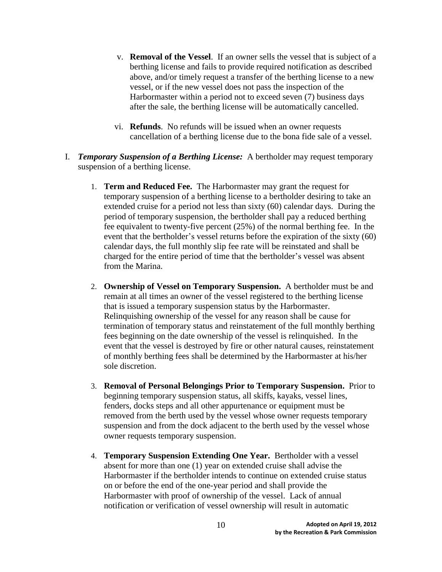- v. **Removal of the Vessel**. If an owner sells the vessel that is subject of a berthing license and fails to provide required notification as described above, and/or timely request a transfer of the berthing license to a new vessel, or if the new vessel does not pass the inspection of the Harbormaster within a period not to exceed seven (7) business days after the sale, the berthing license will be automatically cancelled.
- vi. **Refunds**. No refunds will be issued when an owner requests cancellation of a berthing license due to the bona fide sale of a vessel.
- I. *Temporary Suspension of a Berthing License:* A bertholder may request temporary suspension of a berthing license.
	- 1. **Term and Reduced Fee.** The Harbormaster may grant the request for temporary suspension of a berthing license to a bertholder desiring to take an extended cruise for a period not less than sixty (60) calendar days. During the period of temporary suspension, the bertholder shall pay a reduced berthing fee equivalent to twenty-five percent (25%) of the normal berthing fee. In the event that the bertholder's vessel returns before the expiration of the sixty (60) calendar days, the full monthly slip fee rate will be reinstated and shall be charged for the entire period of time that the bertholder's vessel was absent from the Marina.
	- 2. **Ownership of Vessel on Temporary Suspension.** A bertholder must be and remain at all times an owner of the vessel registered to the berthing license that is issued a temporary suspension status by the Harbormaster. Relinquishing ownership of the vessel for any reason shall be cause for termination of temporary status and reinstatement of the full monthly berthing fees beginning on the date ownership of the vessel is relinquished. In the event that the vessel is destroyed by fire or other natural causes, reinstatement of monthly berthing fees shall be determined by the Harbormaster at his/her sole discretion.
	- 3. **Removal of Personal Belongings Prior to Temporary Suspension.** Prior to beginning temporary suspension status, all skiffs, kayaks, vessel lines, fenders, docks steps and all other appurtenance or equipment must be removed from the berth used by the vessel whose owner requests temporary suspension and from the dock adjacent to the berth used by the vessel whose owner requests temporary suspension.
	- 4. **Temporary Suspension Extending One Year.** Bertholder with a vessel absent for more than one (1) year on extended cruise shall advise the Harbormaster if the bertholder intends to continue on extended cruise status on or before the end of the one-year period and shall provide the Harbormaster with proof of ownership of the vessel. Lack of annual notification or verification of vessel ownership will result in automatic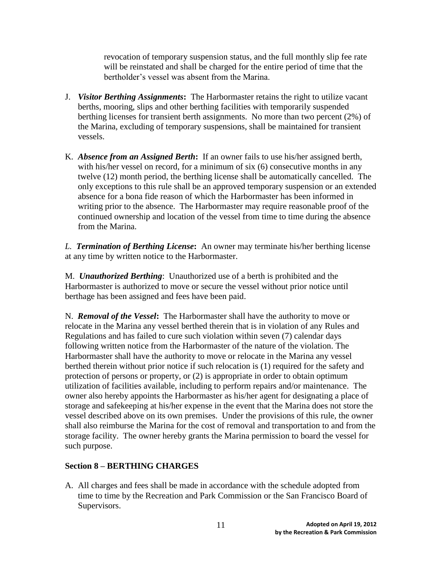revocation of temporary suspension status, and the full monthly slip fee rate will be reinstated and shall be charged for the entire period of time that the bertholder's vessel was absent from the Marina.

- J. *Visitor Berthing Assignments***:** The Harbormaster retains the right to utilize vacant berths, mooring, slips and other berthing facilities with temporarily suspended berthing licenses for transient berth assignments. No more than two percent (2%) of the Marina, excluding of temporary suspensions, shall be maintained for transient vessels.
- K. *Absence from an Assigned Berth***:** If an owner fails to use his/her assigned berth, with his/her vessel on record, for a minimum of six (6) consecutive months in any twelve (12) month period, the berthing license shall be automatically cancelled. The only exceptions to this rule shall be an approved temporary suspension or an extended absence for a bona fide reason of which the Harbormaster has been informed in writing prior to the absence. The Harbormaster may require reasonable proof of the continued ownership and location of the vessel from time to time during the absence from the Marina.

*L. Termination of Berthing License***:** An owner may terminate his/her berthing license at any time by written notice to the Harbormaster.

M. *Unauthorized Berthing*: Unauthorized use of a berth is prohibited and the Harbormaster is authorized to move or secure the vessel without prior notice until berthage has been assigned and fees have been paid.

N. *Removal of the Vessel***:** The Harbormaster shall have the authority to move or relocate in the Marina any vessel berthed therein that is in violation of any Rules and Regulations and has failed to cure such violation within seven (7) calendar days following written notice from the Harbormaster of the nature of the violation. The Harbormaster shall have the authority to move or relocate in the Marina any vessel berthed therein without prior notice if such relocation is (1) required for the safety and protection of persons or property, or (2) is appropriate in order to obtain optimum utilization of facilities available, including to perform repairs and/or maintenance. The owner also hereby appoints the Harbormaster as his/her agent for designating a place of storage and safekeeping at his/her expense in the event that the Marina does not store the vessel described above on its own premises. Under the provisions of this rule, the owner shall also reimburse the Marina for the cost of removal and transportation to and from the storage facility. The owner hereby grants the Marina permission to board the vessel for such purpose.

# **Section 8 – BERTHING CHARGES**

A. All charges and fees shall be made in accordance with the schedule adopted from time to time by the Recreation and Park Commission or the San Francisco Board of Supervisors.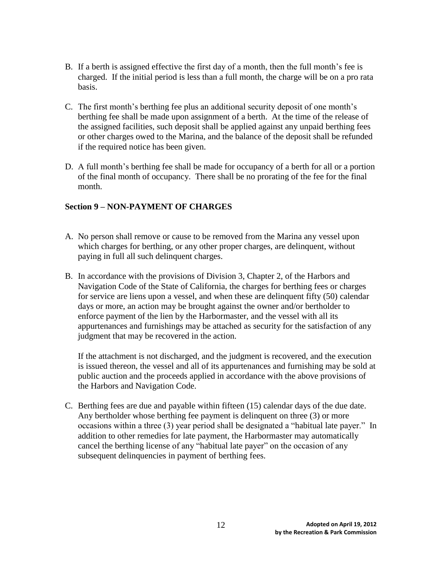- B. If a berth is assigned effective the first day of a month, then the full month's fee is charged. If the initial period is less than a full month, the charge will be on a pro rata basis.
- C. The first month's berthing fee plus an additional security deposit of one month's berthing fee shall be made upon assignment of a berth. At the time of the release of the assigned facilities, such deposit shall be applied against any unpaid berthing fees or other charges owed to the Marina, and the balance of the deposit shall be refunded if the required notice has been given.
- D. A full month's berthing fee shall be made for occupancy of a berth for all or a portion of the final month of occupancy. There shall be no prorating of the fee for the final month.

# **Section 9 – NON-PAYMENT OF CHARGES**

- A. No person shall remove or cause to be removed from the Marina any vessel upon which charges for berthing, or any other proper charges, are delinquent, without paying in full all such delinquent charges.
- B. In accordance with the provisions of Division 3, Chapter 2, of the Harbors and Navigation Code of the State of California, the charges for berthing fees or charges for service are liens upon a vessel, and when these are delinquent fifty (50) calendar days or more, an action may be brought against the owner and/or bertholder to enforce payment of the lien by the Harbormaster, and the vessel with all its appurtenances and furnishings may be attached as security for the satisfaction of any judgment that may be recovered in the action.

If the attachment is not discharged, and the judgment is recovered, and the execution is issued thereon, the vessel and all of its appurtenances and furnishing may be sold at public auction and the proceeds applied in accordance with the above provisions of the Harbors and Navigation Code.

C. Berthing fees are due and payable within fifteen (15) calendar days of the due date. Any bertholder whose berthing fee payment is delinquent on three (3) or more occasions within a three (3) year period shall be designated a "habitual late payer." In addition to other remedies for late payment, the Harbormaster may automatically cancel the berthing license of any "habitual late payer" on the occasion of any subsequent delinquencies in payment of berthing fees.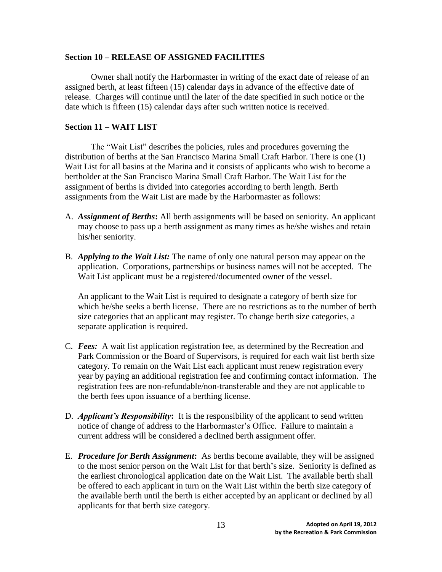#### **Section 10 – RELEASE OF ASSIGNED FACILITIES**

Owner shall notify the Harbormaster in writing of the exact date of release of an assigned berth, at least fifteen (15) calendar days in advance of the effective date of release. Charges will continue until the later of the date specified in such notice or the date which is fifteen (15) calendar days after such written notice is received.

# **Section 11 – WAIT LIST**

The "Wait List" describes the policies, rules and procedures governing the distribution of berths at the San Francisco Marina Small Craft Harbor. There is one (1) Wait List for all basins at the Marina and it consists of applicants who wish to become a bertholder at the San Francisco Marina Small Craft Harbor. The Wait List for the assignment of berths is divided into categories according to berth length. Berth assignments from the Wait List are made by the Harbormaster as follows:

- A. *Assignment of Berths***:** All berth assignments will be based on seniority. An applicant may choose to pass up a berth assignment as many times as he/she wishes and retain his/her seniority.
- B. *Applying to the Wait List:* The name of only one natural person may appear on the application. Corporations, partnerships or business names will not be accepted. The Wait List applicant must be a registered/documented owner of the vessel.

An applicant to the Wait List is required to designate a category of berth size for which he/she seeks a berth license. There are no restrictions as to the number of berth size categories that an applicant may register. To change berth size categories, a separate application is required.

- C. *Fees:* A wait list application registration fee, as determined by the Recreation and Park Commission or the Board of Supervisors, is required for each wait list berth size category. To remain on the Wait List each applicant must renew registration every year by paying an additional registration fee and confirming contact information. The registration fees are non-refundable/non-transferable and they are not applicable to the berth fees upon issuance of a berthing license.
- D. *Applicant's Responsibility***:** It is the responsibility of the applicant to send written notice of change of address to the Harbormaster's Office. Failure to maintain a current address will be considered a declined berth assignment offer.
- E. *Procedure for Berth Assignment***:** As berths become available, they will be assigned to the most senior person on the Wait List for that berth's size. Seniority is defined as the earliest chronological application date on the Wait List. The available berth shall be offered to each applicant in turn on the Wait List within the berth size category of the available berth until the berth is either accepted by an applicant or declined by all applicants for that berth size category.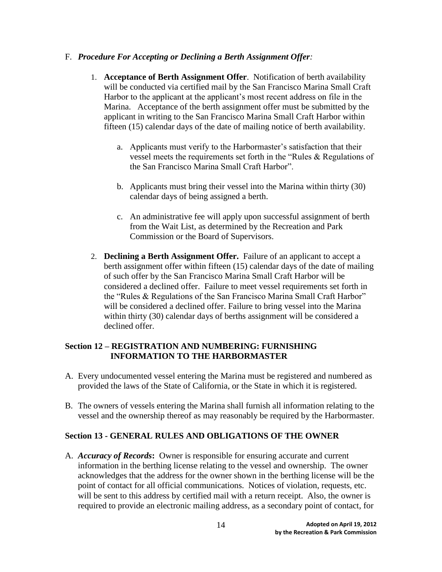## F. *Procedure For Accepting or Declining a Berth Assignment Offer:*

- 1. **Acceptance of Berth Assignment Offer**. Notification of berth availability will be conducted via certified mail by the San Francisco Marina Small Craft Harbor to the applicant at the applicant's most recent address on file in the Marina. Acceptance of the berth assignment offer must be submitted by the applicant in writing to the San Francisco Marina Small Craft Harbor within fifteen (15) calendar days of the date of mailing notice of berth availability.
	- a. Applicants must verify to the Harbormaster's satisfaction that their vessel meets the requirements set forth in the "Rules & Regulations of the San Francisco Marina Small Craft Harbor".
	- b. Applicants must bring their vessel into the Marina within thirty (30) calendar days of being assigned a berth.
	- c. An administrative fee will apply upon successful assignment of berth from the Wait List, as determined by the Recreation and Park Commission or the Board of Supervisors.
- 2. **Declining a Berth Assignment Offer.** Failure of an applicant to accept a berth assignment offer within fifteen (15) calendar days of the date of mailing of such offer by the San Francisco Marina Small Craft Harbor will be considered a declined offer. Failure to meet vessel requirements set forth in the "Rules & Regulations of the San Francisco Marina Small Craft Harbor" will be considered a declined offer. Failure to bring vessel into the Marina within thirty (30) calendar days of berths assignment will be considered a declined offer.

# **Section 12 – REGISTRATION AND NUMBERING: FURNISHING INFORMATION TO THE HARBORMASTER**

- A. Every undocumented vessel entering the Marina must be registered and numbered as provided the laws of the State of California, or the State in which it is registered.
- B. The owners of vessels entering the Marina shall furnish all information relating to the vessel and the ownership thereof as may reasonably be required by the Harbormaster.

# **Section 13 - GENERAL RULES AND OBLIGATIONS OF THE OWNER**

A. *Accuracy of Records***:** Owner is responsible for ensuring accurate and current information in the berthing license relating to the vessel and ownership. The owner acknowledges that the address for the owner shown in the berthing license will be the point of contact for all official communications. Notices of violation, requests, etc. will be sent to this address by certified mail with a return receipt. Also, the owner is required to provide an electronic mailing address, as a secondary point of contact, for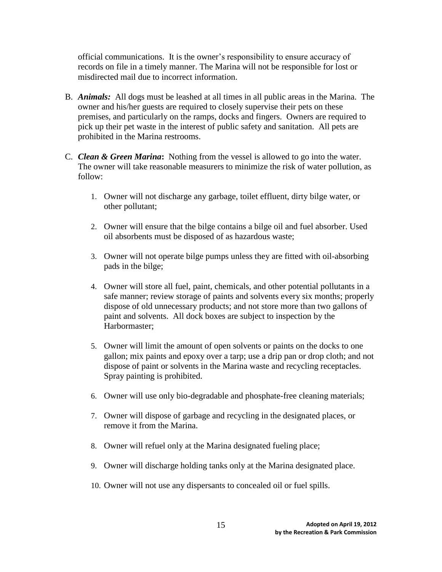official communications. It is the owner's responsibility to ensure accuracy of records on file in a timely manner. The Marina will not be responsible for lost or misdirected mail due to incorrect information.

- B. *Animals:* All dogs must be leashed at all times in all public areas in the Marina. The owner and his/her guests are required to closely supervise their pets on these premises, and particularly on the ramps, docks and fingers. Owners are required to pick up their pet waste in the interest of public safety and sanitation. All pets are prohibited in the Marina restrooms.
- C. *Clean & Green Marina***:** Nothing from the vessel is allowed to go into the water. The owner will take reasonable measurers to minimize the risk of water pollution, as follow:
	- 1. Owner will not discharge any garbage, toilet effluent, dirty bilge water, or other pollutant;
	- 2. Owner will ensure that the bilge contains a bilge oil and fuel absorber. Used oil absorbents must be disposed of as hazardous waste;
	- 3. Owner will not operate bilge pumps unless they are fitted with oil-absorbing pads in the bilge;
	- 4. Owner will store all fuel, paint, chemicals, and other potential pollutants in a safe manner; review storage of paints and solvents every six months; properly dispose of old unnecessary products; and not store more than two gallons of paint and solvents. All dock boxes are subject to inspection by the Harbormaster;
	- 5. Owner will limit the amount of open solvents or paints on the docks to one gallon; mix paints and epoxy over a tarp; use a drip pan or drop cloth; and not dispose of paint or solvents in the Marina waste and recycling receptacles. Spray painting is prohibited.
	- 6. Owner will use only bio-degradable and phosphate-free cleaning materials;
	- 7. Owner will dispose of garbage and recycling in the designated places, or remove it from the Marina.
	- 8. Owner will refuel only at the Marina designated fueling place;
	- 9. Owner will discharge holding tanks only at the Marina designated place.
	- 10. Owner will not use any dispersants to concealed oil or fuel spills.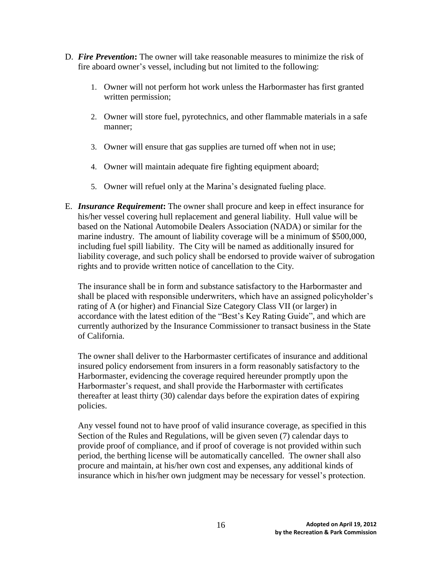- D. *Fire Prevention***:** The owner will take reasonable measures to minimize the risk of fire aboard owner's vessel, including but not limited to the following:
	- 1. Owner will not perform hot work unless the Harbormaster has first granted written permission;
	- 2. Owner will store fuel, pyrotechnics, and other flammable materials in a safe manner;
	- 3. Owner will ensure that gas supplies are turned off when not in use;
	- 4. Owner will maintain adequate fire fighting equipment aboard;
	- 5. Owner will refuel only at the Marina's designated fueling place.
- E. *Insurance Requirement***:** The owner shall procure and keep in effect insurance for his/her vessel covering hull replacement and general liability. Hull value will be based on the National Automobile Dealers Association (NADA) or similar for the marine industry. The amount of liability coverage will be a minimum of \$500,000, including fuel spill liability. The City will be named as additionally insured for liability coverage, and such policy shall be endorsed to provide waiver of subrogation rights and to provide written notice of cancellation to the City.

The insurance shall be in form and substance satisfactory to the Harbormaster and shall be placed with responsible underwriters, which have an assigned policyholder's rating of A (or higher) and Financial Size Category Class VII (or larger) in accordance with the latest edition of the "Best's Key Rating Guide", and which are currently authorized by the Insurance Commissioner to transact business in the State of California.

The owner shall deliver to the Harbormaster certificates of insurance and additional insured policy endorsement from insurers in a form reasonably satisfactory to the Harbormaster, evidencing the coverage required hereunder promptly upon the Harbormaster's request, and shall provide the Harbormaster with certificates thereafter at least thirty (30) calendar days before the expiration dates of expiring policies.

Any vessel found not to have proof of valid insurance coverage, as specified in this Section of the Rules and Regulations, will be given seven (7) calendar days to provide proof of compliance, and if proof of coverage is not provided within such period, the berthing license will be automatically cancelled. The owner shall also procure and maintain, at his/her own cost and expenses, any additional kinds of insurance which in his/her own judgment may be necessary for vessel's protection.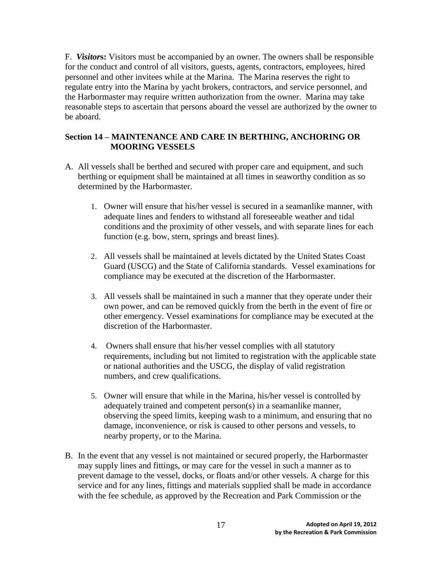F. *Visitor***s:** Visitors must be accompanied by an owner. The owners shall be responsible for the conduct and control of all visitors, guests, agents, contractors, employees, hired personnel and other invitees while at the Marina. The Marina reserves the right to regulate entry into the Marina by yacht brokers, contractors, and service personnel, and the Harbormaster may require written authorization from the owner. Marina may take reasonable steps to ascertain that persons aboard the vessel are authorized by the owner to be aboard.

# **Section 14 – MAINTENANCE AND CARE IN BERTHING, ANCHORING OR MOORING VESSELS**

- A. All vessels shall be berthed and secured with proper care and equipment, and such berthing or equipment shall be maintained at all times in seaworthy condition as so determined by the Harbormaster.
	- 1. Owner will ensure that his/her vessel is secured in a seamanlike manner, with adequate lines and fenders to withstand all foreseeable weather and tidal conditions and the proximity of other vessels, and with separate lines for each function (e.g. bow, stern, springs and breast lines).
	- 2. All vessels shall be maintained at levels dictated by the United States Coast Guard (USCG) and the State of California standards. Vessel examinations for compliance may be executed at the discretion of the Harbormaster.
	- 3. All vessels shall be maintained in such a manner that they operate under their own power, and can be removed quickly from the berth in the event of fire or other emergency. Vessel examinations for compliance may be executed at the discretion of the Harbormaster.
	- 4. Owners shall ensure that his/her vessel complies with all statutory requirements, including but not limited to registration with the applicable state or national authorities and the USCG, the display of valid registration numbers, and crew qualifications.
	- 5. Owner will ensure that while in the Marina, his/her vessel is controlled by adequately trained and competent person(s) in a seamanlike manner, observing the speed limits, keeping wash to a minimum, and ensuring that no damage, inconvenience, or risk is caused to other persons and vessels, to nearby property, or to the Marina.
- B. In the event that any vessel is not maintained or secured properly, the Harbormaster may supply lines and fittings, or may care for the vessel in such a manner as to prevent damage to the vessel, docks, or floats and/or other vessels. A charge for this service and for any lines, fittings and materials supplied shall be made in accordance with the fee schedule, as approved by the Recreation and Park Commission or the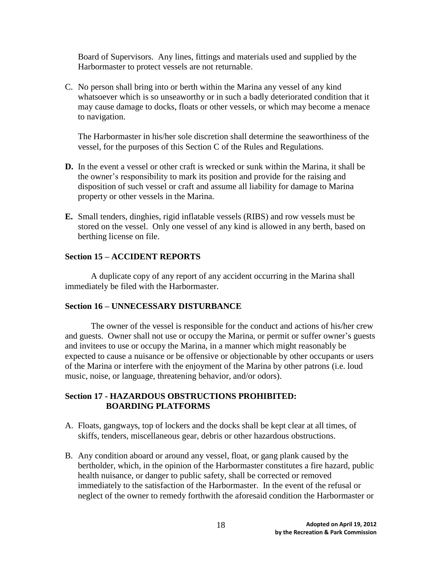Board of Supervisors. Any lines, fittings and materials used and supplied by the Harbormaster to protect vessels are not returnable.

C. No person shall bring into or berth within the Marina any vessel of any kind whatsoever which is so unseaworthy or in such a badly deteriorated condition that it may cause damage to docks, floats or other vessels, or which may become a menace to navigation.

The Harbormaster in his/her sole discretion shall determine the seaworthiness of the vessel, for the purposes of this Section C of the Rules and Regulations.

- **D.** In the event a vessel or other craft is wrecked or sunk within the Marina, it shall be the owner's responsibility to mark its position and provide for the raising and disposition of such vessel or craft and assume all liability for damage to Marina property or other vessels in the Marina.
- **E.** Small tenders, dinghies, rigid inflatable vessels (RIBS) and row vessels must be stored on the vessel. Only one vessel of any kind is allowed in any berth, based on berthing license on file.

#### **Section 15 – ACCIDENT REPORTS**

A duplicate copy of any report of any accident occurring in the Marina shall immediately be filed with the Harbormaster.

#### **Section 16 – UNNECESSARY DISTURBANCE**

The owner of the vessel is responsible for the conduct and actions of his/her crew and guests. Owner shall not use or occupy the Marina, or permit or suffer owner's guests and invitees to use or occupy the Marina, in a manner which might reasonably be expected to cause a nuisance or be offensive or objectionable by other occupants or users of the Marina or interfere with the enjoyment of the Marina by other patrons (i.e. loud music, noise, or language, threatening behavior, and/or odors).

#### **Section 17 - HAZARDOUS OBSTRUCTIONS PROHIBITED: BOARDING PLATFORMS**

- A. Floats, gangways, top of lockers and the docks shall be kept clear at all times, of skiffs, tenders, miscellaneous gear, debris or other hazardous obstructions.
- B. Any condition aboard or around any vessel, float, or gang plank caused by the bertholder, which, in the opinion of the Harbormaster constitutes a fire hazard, public health nuisance, or danger to public safety, shall be corrected or removed immediately to the satisfaction of the Harbormaster. In the event of the refusal or neglect of the owner to remedy forthwith the aforesaid condition the Harbormaster or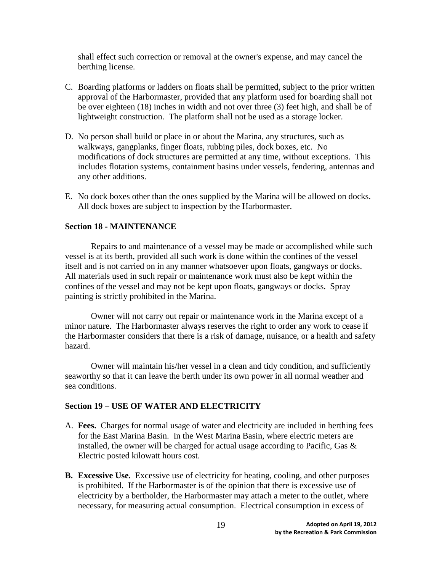shall effect such correction or removal at the owner's expense, and may cancel the berthing license.

- C. Boarding platforms or ladders on floats shall be permitted, subject to the prior written approval of the Harbormaster, provided that any platform used for boarding shall not be over eighteen (18) inches in width and not over three (3) feet high, and shall be of lightweight construction. The platform shall not be used as a storage locker.
- D. No person shall build or place in or about the Marina, any structures, such as walkways, gangplanks, finger floats, rubbing piles, dock boxes, etc. No modifications of dock structures are permitted at any time, without exceptions. This includes flotation systems, containment basins under vessels, fendering, antennas and any other additions.
- E. No dock boxes other than the ones supplied by the Marina will be allowed on docks. All dock boxes are subject to inspection by the Harbormaster.

#### **Section 18 - MAINTENANCE**

Repairs to and maintenance of a vessel may be made or accomplished while such vessel is at its berth, provided all such work is done within the confines of the vessel itself and is not carried on in any manner whatsoever upon floats, gangways or docks. All materials used in such repair or maintenance work must also be kept within the confines of the vessel and may not be kept upon floats, gangways or docks. Spray painting is strictly prohibited in the Marina.

Owner will not carry out repair or maintenance work in the Marina except of a minor nature. The Harbormaster always reserves the right to order any work to cease if the Harbormaster considers that there is a risk of damage, nuisance, or a health and safety hazard.

Owner will maintain his/her vessel in a clean and tidy condition, and sufficiently seaworthy so that it can leave the berth under its own power in all normal weather and sea conditions.

#### **Section 19 – USE OF WATER AND ELECTRICITY**

- A. **Fees.** Charges for normal usage of water and electricity are included in berthing fees for the East Marina Basin. In the West Marina Basin, where electric meters are installed, the owner will be charged for actual usage according to Pacific, Gas & Electric posted kilowatt hours cost.
- **B. Excessive Use.** Excessive use of electricity for heating, cooling, and other purposes is prohibited. If the Harbormaster is of the opinion that there is excessive use of electricity by a bertholder, the Harbormaster may attach a meter to the outlet, where necessary, for measuring actual consumption. Electrical consumption in excess of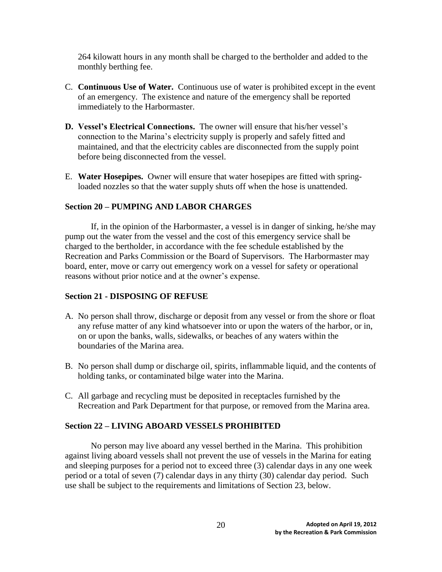264 kilowatt hours in any month shall be charged to the bertholder and added to the monthly berthing fee.

- C. **Continuous Use of Water.** Continuous use of water is prohibited except in the event of an emergency. The existence and nature of the emergency shall be reported immediately to the Harbormaster.
- **D. Vessel's Electrical Connections.** The owner will ensure that his/her vessel's connection to the Marina's electricity supply is properly and safely fitted and maintained, and that the electricity cables are disconnected from the supply point before being disconnected from the vessel.
- E. **Water Hosepipes.** Owner will ensure that water hosepipes are fitted with springloaded nozzles so that the water supply shuts off when the hose is unattended.

# **Section 20 – PUMPING AND LABOR CHARGES**

If, in the opinion of the Harbormaster, a vessel is in danger of sinking, he/she may pump out the water from the vessel and the cost of this emergency service shall be charged to the bertholder, in accordance with the fee schedule established by the Recreation and Parks Commission or the Board of Supervisors. The Harbormaster may board, enter, move or carry out emergency work on a vessel for safety or operational reasons without prior notice and at the owner's expense.

# **Section 21 - DISPOSING OF REFUSE**

- A. No person shall throw, discharge or deposit from any vessel or from the shore or float any refuse matter of any kind whatsoever into or upon the waters of the harbor, or in, on or upon the banks, walls, sidewalks, or beaches of any waters within the boundaries of the Marina area.
- B. No person shall dump or discharge oil, spirits, inflammable liquid, and the contents of holding tanks, or contaminated bilge water into the Marina.
- C. All garbage and recycling must be deposited in receptacles furnished by the Recreation and Park Department for that purpose, or removed from the Marina area.

# **Section 22 – LIVING ABOARD VESSELS PROHIBITED**

No person may live aboard any vessel berthed in the Marina. This prohibition against living aboard vessels shall not prevent the use of vessels in the Marina for eating and sleeping purposes for a period not to exceed three (3) calendar days in any one week period or a total of seven (7) calendar days in any thirty (30) calendar day period. Such use shall be subject to the requirements and limitations of Section 23, below.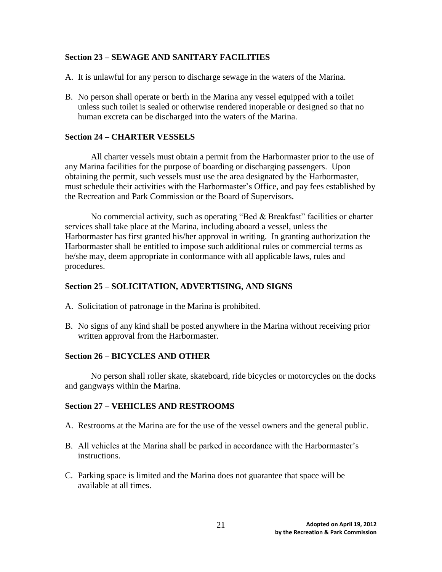## **Section 23 – SEWAGE AND SANITARY FACILITIES**

- A. It is unlawful for any person to discharge sewage in the waters of the Marina.
- B. No person shall operate or berth in the Marina any vessel equipped with a toilet unless such toilet is sealed or otherwise rendered inoperable or designed so that no human excreta can be discharged into the waters of the Marina.

## **Section 24 – CHARTER VESSELS**

All charter vessels must obtain a permit from the Harbormaster prior to the use of any Marina facilities for the purpose of boarding or discharging passengers. Upon obtaining the permit, such vessels must use the area designated by the Harbormaster, must schedule their activities with the Harbormaster's Office, and pay fees established by the Recreation and Park Commission or the Board of Supervisors.

No commercial activity, such as operating "Bed & Breakfast" facilities or charter services shall take place at the Marina, including aboard a vessel, unless the Harbormaster has first granted his/her approval in writing. In granting authorization the Harbormaster shall be entitled to impose such additional rules or commercial terms as he/she may, deem appropriate in conformance with all applicable laws, rules and procedures.

#### **Section 25 – SOLICITATION, ADVERTISING, AND SIGNS**

- A. Solicitation of patronage in the Marina is prohibited.
- B. No signs of any kind shall be posted anywhere in the Marina without receiving prior written approval from the Harbormaster.

#### **Section 26 – BICYCLES AND OTHER**

No person shall roller skate, skateboard, ride bicycles or motorcycles on the docks and gangways within the Marina.

#### **Section 27 – VEHICLES AND RESTROOMS**

- A. Restrooms at the Marina are for the use of the vessel owners and the general public.
- B. All vehicles at the Marina shall be parked in accordance with the Harbormaster's instructions.
- C. Parking space is limited and the Marina does not guarantee that space will be available at all times.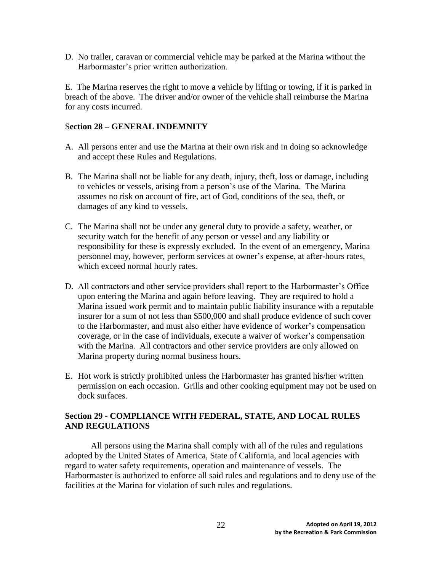D. No trailer, caravan or commercial vehicle may be parked at the Marina without the Harbormaster's prior written authorization.

E. The Marina reserves the right to move a vehicle by lifting or towing, if it is parked in breach of the above. The driver and/or owner of the vehicle shall reimburse the Marina for any costs incurred.

# S**ection 28 – GENERAL INDEMNITY**

- A. All persons enter and use the Marina at their own risk and in doing so acknowledge and accept these Rules and Regulations.
- B. The Marina shall not be liable for any death, injury, theft, loss or damage, including to vehicles or vessels, arising from a person's use of the Marina. The Marina assumes no risk on account of fire, act of God, conditions of the sea, theft, or damages of any kind to vessels.
- C. The Marina shall not be under any general duty to provide a safety, weather, or security watch for the benefit of any person or vessel and any liability or responsibility for these is expressly excluded. In the event of an emergency, Marina personnel may, however, perform services at owner's expense, at after-hours rates, which exceed normal hourly rates.
- D. All contractors and other service providers shall report to the Harbormaster's Office upon entering the Marina and again before leaving. They are required to hold a Marina issued work permit and to maintain public liability insurance with a reputable insurer for a sum of not less than \$500,000 and shall produce evidence of such cover to the Harbormaster, and must also either have evidence of worker's compensation coverage, or in the case of individuals, execute a waiver of worker's compensation with the Marina. All contractors and other service providers are only allowed on Marina property during normal business hours.
- E. Hot work is strictly prohibited unless the Harbormaster has granted his/her written permission on each occasion. Grills and other cooking equipment may not be used on dock surfaces.

# **Section 29 - COMPLIANCE WITH FEDERAL, STATE, AND LOCAL RULES AND REGULATIONS**

All persons using the Marina shall comply with all of the rules and regulations adopted by the United States of America, State of California, and local agencies with regard to water safety requirements, operation and maintenance of vessels. The Harbormaster is authorized to enforce all said rules and regulations and to deny use of the facilities at the Marina for violation of such rules and regulations.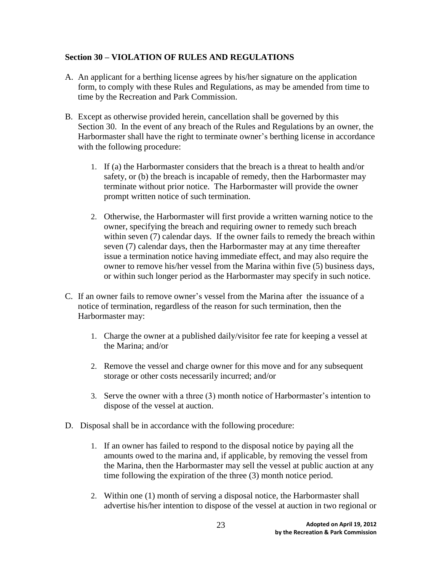# **Section 30 – VIOLATION OF RULES AND REGULATIONS**

- A. An applicant for a berthing license agrees by his/her signature on the application form, to comply with these Rules and Regulations, as may be amended from time to time by the Recreation and Park Commission.
- B. Except as otherwise provided herein, cancellation shall be governed by this Section 30. In the event of any breach of the Rules and Regulations by an owner, the Harbormaster shall have the right to terminate owner's berthing license in accordance with the following procedure:
	- 1. If (a) the Harbormaster considers that the breach is a threat to health and/or safety, or (b) the breach is incapable of remedy, then the Harbormaster may terminate without prior notice. The Harbormaster will provide the owner prompt written notice of such termination.
	- 2. Otherwise, the Harbormaster will first provide a written warning notice to the owner, specifying the breach and requiring owner to remedy such breach within seven (7) calendar days. If the owner fails to remedy the breach within seven (7) calendar days, then the Harbormaster may at any time thereafter issue a termination notice having immediate effect, and may also require the owner to remove his/her vessel from the Marina within five (5) business days, or within such longer period as the Harbormaster may specify in such notice.
- C. If an owner fails to remove owner's vessel from the Marina after the issuance of a notice of termination, regardless of the reason for such termination, then the Harbormaster may:
	- 1. Charge the owner at a published daily/visitor fee rate for keeping a vessel at the Marina; and/or
	- 2. Remove the vessel and charge owner for this move and for any subsequent storage or other costs necessarily incurred; and/or
	- 3. Serve the owner with a three (3) month notice of Harbormaster's intention to dispose of the vessel at auction.
- D. Disposal shall be in accordance with the following procedure:
	- 1. If an owner has failed to respond to the disposal notice by paying all the amounts owed to the marina and, if applicable, by removing the vessel from the Marina, then the Harbormaster may sell the vessel at public auction at any time following the expiration of the three (3) month notice period.
	- 2. Within one (1) month of serving a disposal notice, the Harbormaster shall advertise his/her intention to dispose of the vessel at auction in two regional or